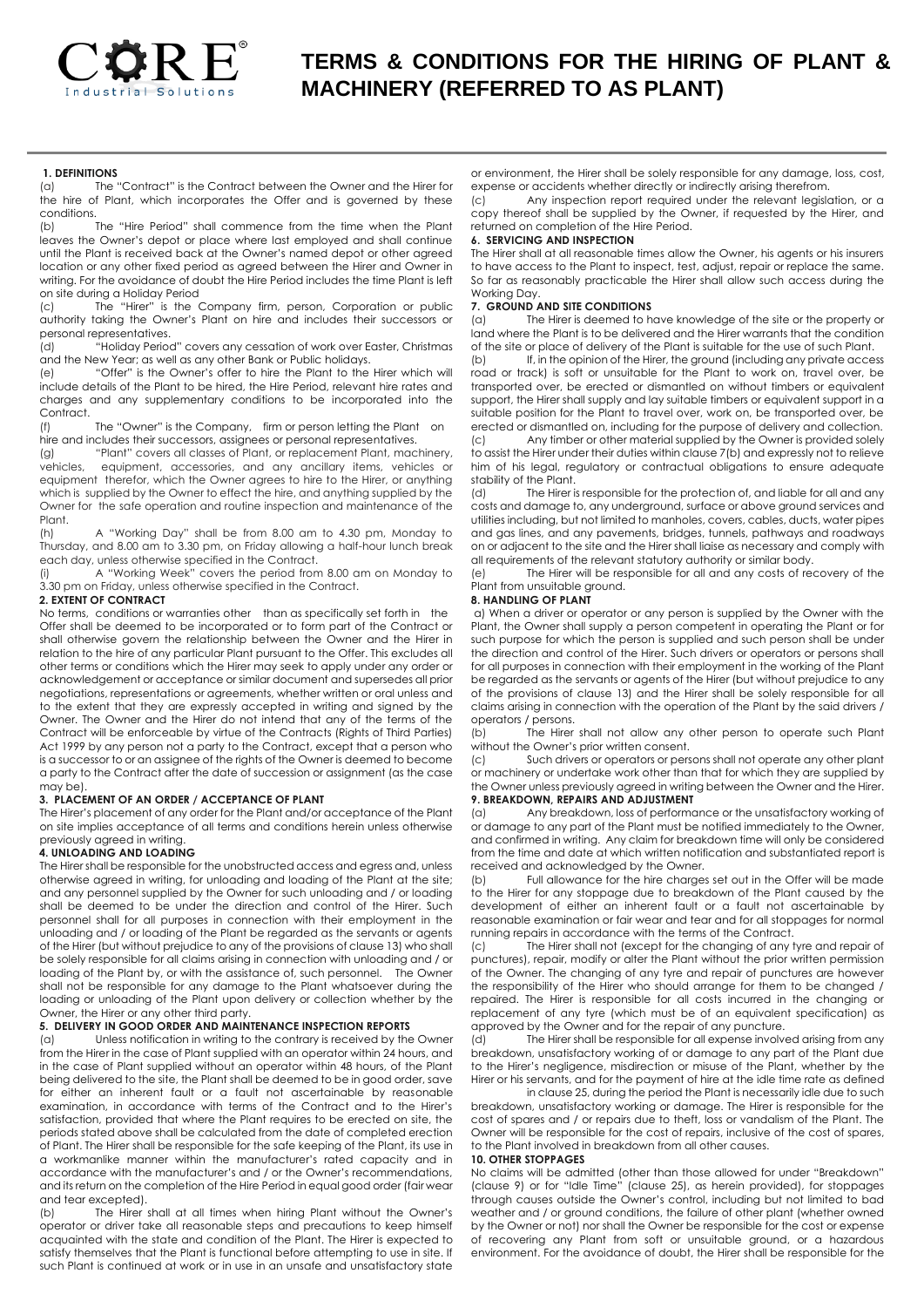

# **TERMS & CONDITIONS FOR THE HIRING OF PLANT & MACHINERY (REFERRED TO AS PLANT)**

## **1. DEFINITIONS**

(a) The "Contract" is the Contract between the Owner and the Hirer for the hire of Plant, which incorporates the Offer and is governed by these conditions.<br>(b)

The "Hire Period" shall commence from the time when the Plant leaves the Owner's depot or place where last employed and shall continue until the Plant is received back at the Owner's named depot or other agreed location or any other fixed period as agreed between the Hirer and Owner in writing. For the avoidance of doubt the Hire Period includes the time Plant is left on site during a Holiday Period<br>(c) The "Hirer" is the (

The "Hirer" is the Company firm, person, Corporation or public authority taking the Owner's Plant on hire and includes their successors or personal representatives.

(d) "Holiday Period" covers any cessation of work over Easter, Christmas and the New Year; as well as any other Bank or Public holidays.

(e) "Offer" is the Owner's offer to hire the Plant to the Hirer which will include details of the Plant to be hired, the Hire Period, relevant hire rates and charges and any supplementary conditions to be incorporated into the Contract.

(f) The "Owner" is the Company, firm or person letting the Plant on hire and includes their successors, assignees or personal representatives.

(g) "Plant" covers all classes of Plant, or replacement Plant, machinery, vehicles, equipment, accessories, and any ancillary items, vehicles or equipment therefor, which the Owner agrees to hire to the Hirer, or anything which is supplied by the Owner to effect the hire, and anything supplied by the Owner for the safe operation and routine inspection and maintenance of the Plant.

(h) A "Working Day" shall be from 8.00 am to 4.30 pm, Monday to Thursday, and 8.00 am to 3.30 pm, on Friday allowing a half-hour lunch break each day, unless otherwise specified in the Contract.

(i) A "Working Week" covers the period from 8.00 am on Monday to 3.30 pm on Friday, unless otherwise specified in the Contract.

## **2. EXTENT OF CONTRACT**

No terms, conditions or warranties other than as specifically set forth in the Offer shall be deemed to be incorporated or to form part of the Contract or shall otherwise govern the relationship between the Owner and the Hirer in relation to the hire of any particular Plant pursuant to the Offer. This excludes all other terms or conditions which the Hirer may seek to apply under any order or acknowledgement or acceptance or similar document and supersedes all prior negotiations, representations or agreements, whether written or oral unless and to the extent that they are expressly accepted in writing and signed by the Owner. The Owner and the Hirer do not intend that any of the terms of the Contract will be enforceable by virtue of the Contracts (Rights of Third Parties) Act 1999 by any person not a party to the Contract, except that a person who is a successor to or an assignee of the rights of the Owner is deemed to become a party to the Contract after the date of succession or assignment (as the case may be).

## **3. PLACEMENT OF AN ORDER / ACCEPTANCE OF PLANT**

The Hirer's placement of any order for the Plant and/or acceptance of the Plant on site implies acceptance of all terms and conditions herein unless otherwise previously agreed in writing.

## **4. UNLOADING AND LOADING**

The Hirer shall be responsible for the unobstructed access and egress and, unless otherwise agreed in writing, for unloading and loading of the Plant at the site; and any personnel supplied by the Owner for such unloading and / or loading shall be deemed to be under the direction and control of the Hirer. Such personnel shall for all purposes in connection with their employment in the unloading and / or loading of the Plant be regarded as the servants or agents of the Hirer (but without prejudice to any of the provisions of clause 13) who shall be solely responsible for all claims arising in connection with unloading and / or loading of the Plant by, or with the assistance of, such personnel. The Owner shall not be responsible for any damage to the Plant whatsoever during the loading or unloading of the Plant upon delivery or collection whether by the Owner, the Hirer or any other third party.

## **5. DELIVERY IN GOOD ORDER AND MAINTENANCE INSPECTION REPORTS**

(a) Unless notification in writing to the contrary is received by the Owner from the Hirer in the case of Plant supplied with an operator within 24 hours, and in the case of Plant supplied without an operator within 48 hours, of the Plant being delivered to the site, the Plant shall be deemed to be in good order, save for either an inherent fault or a fault not ascertainable by reasonable examination, in accordance with terms of the Contract and to the Hirer's satisfaction, provided that where the Plant requires to be erected on site, the periods stated above shall be calculated from the date of completed erection of Plant. The Hirer shall be responsible for the safe keeping of the Plant, its use in a workmanlike manner within the manufacturer's rated capacity and in accordance with the manufacturer's and / or the Owner's recommendations, and its return on the completion of the Hire Period in equal good order (fair wear and tear excepted).

(b) The Hirer shall at all times when hiring Plant without the Owner's operator or driver take all reasonable steps and precautions to keep himself acquainted with the state and condition of the Plant. The Hirer is expected to satisfy themselves that the Plant is functional before attempting to use in site. If such Plant is continued at work or in use in an unsafe and unsatisfactory state

or environment, the Hirer shall be solely responsible for any damage, loss, cost, expense or accidents whether directly or indirectly arising therefrom.

(c) Any inspection report required under the relevant legislation, or a copy thereof shall be supplied by the Owner, if requested by the Hirer, and returned on completion of the Hire Period.

## **6. SERVICING AND INSPECTION**

The Hirer shall at all reasonable times allow the Owner, his agents or his insurers to have access to the Plant to inspect, test, adjust, repair or replace the same. So far as reasonably practicable the Hirer shall allow such access during the Working Day.

#### **7. GROUND AND SITE CONDITIONS**

(a) The Hirer is deemed to have knowledge of the site or the property or land where the Plant is to be delivered and the Hirer warrants that the condition of the site or place of delivery of the Plant is suitable for the use of such Plant.

(b) If, in the opinion of the Hirer, the ground (including any private access road or track) is soft or unsuitable for the Plant to work on, travel over, be transported over, be erected or dismantled on without timbers or equivalent support, the Hirer shall supply and lay suitable timbers or equivalent support in a suitable position for the Plant to travel over, work on, be transported over, be erected or dismantled on, including for the purpose of delivery and collection.

(c) Any timber or other material supplied by the Owner is provided solely to assist the Hirer under their duties within clause 7(b) and expressly not to relieve him of his legal, regulatory or contractual obligations to ensure adequate stability of the Plant.

(d) The Hirer is responsible for the protection of, and liable for all and any costs and damage to, any underground, surface or above ground services and utilities including, but not limited to manholes, covers, cables, ducts, water pipes and gas lines, and any pavements, bridges, tunnels, pathways and roadways on or adjacent to the site and the Hirer shall liaise as necessary and comply with all requirements of the relevant statutory authority or similar body.

(e) The Hirer will be responsible for all and any costs of recovery of the Plant from unsuitable ground.

## **8. HANDLING OF PLANT**

a) When a driver or operator or any person is supplied by the Owner with the Plant, the Owner shall supply a person competent in operating the Plant or for such purpose for which the person is supplied and such person shall be under the direction and control of the Hirer. Such drivers or operators or persons shall for all purposes in connection with their employment in the working of the Plant be regarded as the servants or agents of the Hirer (but without prejudice to any of the provisions of clause 13) and the Hirer shall be solely responsible for all claims arising in connection with the operation of the Plant by the said drivers / operators / persons.

(b) The Hirer shall not allow any other person to operate such Plant without the Owner's prior written consent.

(c) Such drivers or operators or persons shall not operate any other plant or machinery or undertake work other than that for which they are supplied by the Owner unless previously agreed in writing between the Owner and the Hirer. **9. BREAKDOWN, REPAIRS AND ADJUSTMENT**

(a) Any breakdown, loss of performance or the unsatisfactory working of or damage to any part of the Plant must be notified immediately to the Owner, and confirmed in writing. Any claim for breakdown time will only be considered from the time and date at which written notification and substantiated report is received and acknowledged by the Owner.

(b) Full allowance for the hire charges set out in the Offer will be made to the Hirer for any stoppage due to breakdown of the Plant caused by the development of either an inherent fault or a fault not ascertainable by reasonable examination or fair wear and tear and for all stoppages for normal running repairs in accordance with the terms of the Contract.

(c) The Hirer shall not (except for the changing of any tyre and repair of punctures), repair, modify or alter the Plant without the prior written permission of the Owner. The changing of any tyre and repair of punctures are however the responsibility of the Hirer who should arrange for them to be changed / repaired. The Hirer is responsible for all costs incurred in the changing or replacement of any tyre (which must be of an equivalent specification) as approved by the Owner and for the repair of any puncture.

(d) The Hirer shall be responsible for all expense involved arising from any breakdown, unsatisfactory working of or damage to any part of the Plant due to the Hirer's negligence, misdirection or misuse of the Plant, whether by the Hirer or his servants, and for the payment of hire at the idle time rate as defined

in clause 25, during the period the Plant is necessarily idle due to such breakdown, unsatisfactory working or damage. The Hirer is responsible for the cost of spares and / or repairs due to theft, loss or vandalism of the Plant. The Owner will be responsible for the cost of repairs, inclusive of the cost of spares, to the Plant involved in breakdown from all other causes.

#### **10. OTHER STOPPAGES**

No claims will be admitted (other than those allowed for under "Breakdown" (clause 9) or for "Idle Time" (clause 25), as herein provided), for stoppages through causes outside the Owner's control, including but not limited to bad weather and / or ground conditions, the failure of other plant (whether owned by the Owner or not) nor shall the Owner be responsible for the cost or expense of recovering any Plant from soft or unsuitable ground, or a hazardous environment. For the avoidance of doubt, the Hirer shall be responsible for the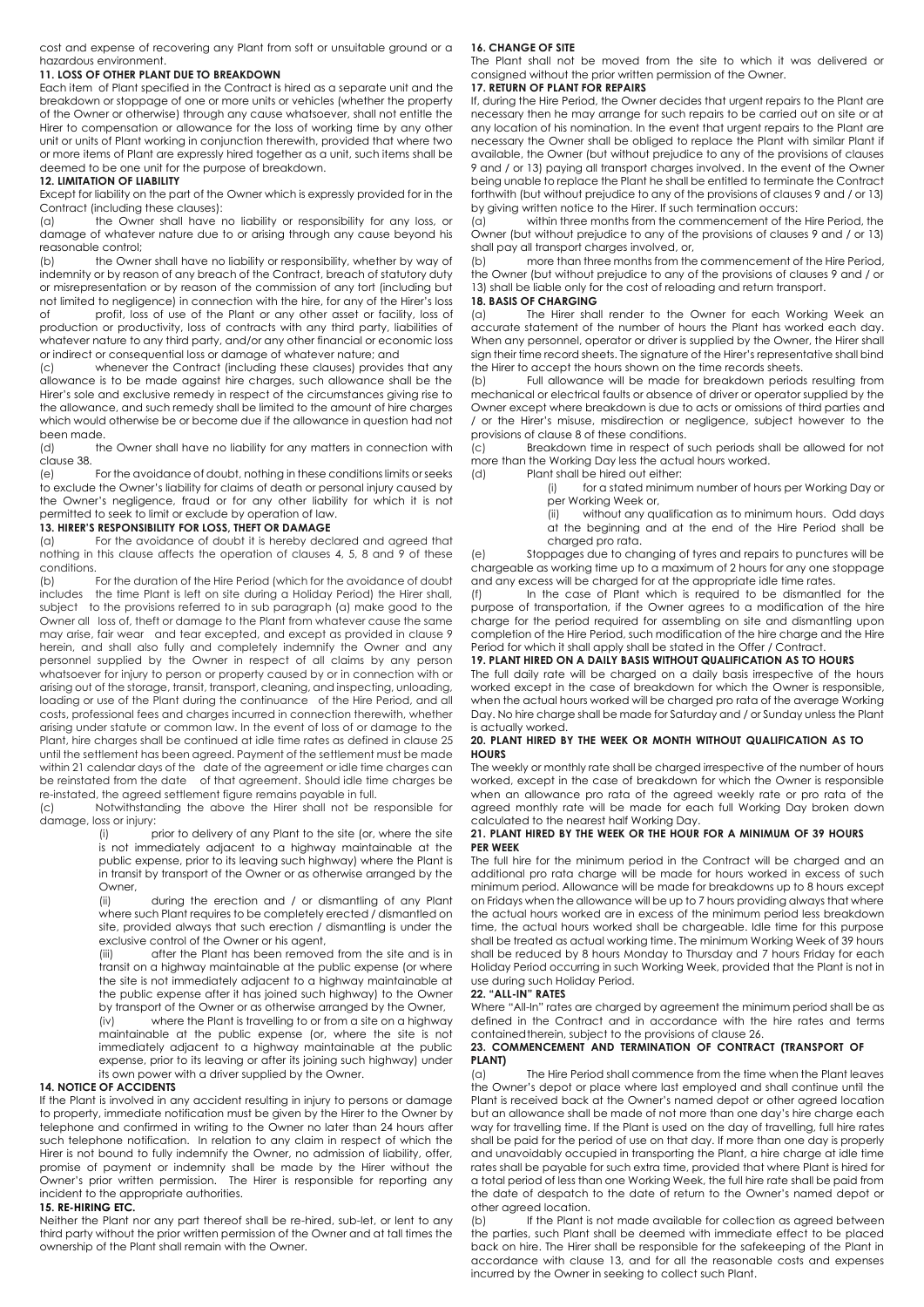cost and expense of recovering any Plant from soft or unsuitable ground or a hazardous environment.

## **11. LOSS OF OTHER PLANT DUE TO BREAKDOWN**

Each item of Plant specified in the Contract is hired as a separate unit and the breakdown or stoppage of one or more units or vehicles (whether the property of the Owner or otherwise) through any cause whatsoever, shall not entitle the Hirer to compensation or allowance for the loss of working time by any other unit or units of Plant working in conjunction therewith, provided that where two or more items of Plant are expressly hired together as a unit, such items shall be deemed to be one unit for the purpose of breakdown.

#### **12. LIMITATION OF LIABILITY**

Except for liability on the part of the Owner which is expressly provided for in the Contract (including these clauses):

(a) the Owner shall have no liability or responsibility for any loss, or damage of whatever nature due to or arising through any cause beyond his reasonable control;

(b) the Owner shall have no liability or responsibility, whether by way of indemnity or by reason of any breach of the Contract, breach of statutory duty or misrepresentation or by reason of the commission of any tort (including but not limited to negligence) in connection with the hire, for any of the Hirer's loss

of profit, loss of use of the Plant or any other asset or facility, loss of production or productivity, loss of contracts with any third party, liabilities of whatever nature to any third party, and/or any other financial or economic loss or indirect or consequential loss or damage of whatever nature; and

(c) whenever the Contract (including these clauses) provides that any allowance is to be made against hire charges, such allowance shall be the Hirer's sole and exclusive remedy in respect of the circumstances giving rise to the allowance, and such remedy shall be limited to the amount of hire charges which would otherwise be or become due if the allowance in question had not been made.

(d) the Owner shall have no liability for any matters in connection with clause 38.

(e) For the avoidance of doubt, nothing in these conditions limits or seeks to exclude the Owner's liability for claims of death or personal injury caused by the Owner's negligence, fraud or for any other liability for which it is not permitted to seek to limit or exclude by operation of law.

## **13. HIRER'S RESPONSIBILITY FOR LOSS, THEFT OR DAMAGE**

(a) For the avoidance of doubt it is hereby declared and agreed that nothing in this clause affects the operation of clauses 4, 5, 8 and 9 of these conditions.

(b) For the duration of the Hire Period (which for the avoidance of doubt includes the time Plant is left on site during a Holiday Period) the Hirer shall, subject to the provisions referred to in sub paragraph (a) make good to the Owner all loss of, theft or damage to the Plant from whatever cause the same may arise, fair wear and tear excepted, and except as provided in clause 9 herein, and shall also fully and completely indemnify the Owner and any personnel supplied by the Owner in respect of all claims by any person whatsoever for injury to person or property caused by or in connection with or arising out of the storage, transit, transport, cleaning, and inspecting, unloading, loading or use of the Plant during the continuance of the Hire Period, and all costs, professional fees and charges incurred in connection therewith, whether arising under statute or common law. In the event of loss of or damage to the Plant, hire charges shall be continued at idle time rates as defined in clause 25 until the settlement has been agreed. Payment of the settlement must be made within 21 calendar days of the date of the agreement or idle time charges can be reinstated from the date of that agreement. Should idle time charges be re-instated, the agreed settlement figure remains payable in full.

(c) Notwithstanding the above the Hirer shall not be responsible for damage, loss or injury:

(i) prior to delivery of any Plant to the site (or, where the site is not immediately adjacent to a highway maintainable at the public expense, prior to its leaving such highway) where the Plant is in transit by transport of the Owner or as otherwise arranged by the Owner,

(ii) during the erection and / or dismantling of any Plant where such Plant requires to be completely erected / dismantled on site, provided always that such erection / dismantling is under the exclusive control of the Owner or his agent,

(iii) after the Plant has been removed from the site and is in transit on a highway maintainable at the public expense (or where the site is not immediately adjacent to a highway maintainable at the public expense after it has joined such highway) to the Owner by transport of the Owner or as otherwise arranged by the Owner,

(iv) where the Plant is travelling to or from a site on a highway maintainable at the public expense (or, where the site is not immediately adjacent to a highway maintainable at the public expense, prior to its leaving or after its joining such highway) under its own power with a driver supplied by the Owner.

#### **14. NOTICE OF ACCIDENTS**

If the Plant is involved in any accident resulting in injury to persons or damage to property, immediate notification must be given by the Hirer to the Owner by telephone and confirmed in writing to the Owner no later than 24 hours after such telephone notification. In relation to any claim in respect of which the Hirer is not bound to fully indemnify the Owner, no admission of liability, offer, promise of payment or indemnity shall be made by the Hirer without the Owner's prior written permission. The Hirer is responsible for reporting any incident to the appropriate authorities.

## **15. RE-HIRING ETC.**

Neither the Plant nor any part thereof shall be re-hired, sub-let, or lent to any third party without the prior written permission of the Owner and at tall times the ownership of the Plant shall remain with the Owner.

## **16. CHANGE OF SITE**

The Plant shall not be moved from the site to which it was delivered or consigned without the prior written permission of the Owner.

## **17. RETURN OF PLANT FOR REPAIRS**

If, during the Hire Period, the Owner decides that urgent repairs to the Plant are necessary then he may arrange for such repairs to be carried out on site or at any location of his nomination. In the event that urgent repairs to the Plant are necessary the Owner shall be obliged to replace the Plant with similar Plant if available, the Owner (but without prejudice to any of the provisions of clauses 9 and / or 13) paying all transport charges involved. In the event of the Owner being unable to replace the Plant he shall be entitled to terminate the Contract forthwith (but without prejudice to any of the provisions of clauses 9 and / or 13) by giving written notice to the Hirer. If such termination occurs:

(a) within three months from the commencement of the Hire Period, the Owner (but without prejudice to any of the provisions of clauses 9 and / or 13) shall pay all transport charges involved, or,

(b) more than three months from the commencement of the Hire Period, the Owner (but without prejudice to any of the provisions of clauses 9 and / or 13) shall be liable only for the cost of reloading and return transport.

## **18. BASIS OF CHARGING**

(a) The Hirer shall render to the Owner for each Working Week an accurate statement of the number of hours the Plant has worked each day. When any personnel, operator or driver is supplied by the Owner, the Hirer shall sign their time record sheets. The signature of the Hirer's representative shall bind the Hirer to accept the hours shown on the time records sheets.

(b) Full allowance will be made for breakdown periods resulting from mechanical or electrical faults or absence of driver or operator supplied by the Owner except where breakdown is due to acts or omissions of third parties and / or the Hirer's misuse, misdirection or negligence, subject however to the provisions of clause 8 of these conditions.

(c) Breakdown time in respect of such periods shall be allowed for not more than the Working Day less the actual hours worked.

(d) Plant shall be hired out either:

(i) for a stated minimum number of hours per Working Day or per Working Week or,

(ii) without any qualification as to minimum hours. Odd days at the beginning and at the end of the Hire Period shall be charged pro rata.

(e) Stoppages due to changing of tyres and repairs to punctures will be chargeable as working time up to a maximum of 2 hours for any one stoppage and any excess will be charged for at the appropriate idle time rates.

(f) In the case of Plant which is required to be dismantled for the purpose of transportation, if the Owner agrees to a modification of the hire charge for the period required for assembling on site and dismantling upon completion of the Hire Period, such modification of the hire charge and the Hire Period for which it shall apply shall be stated in the Offer / Contract.

## **19. PLANT HIRED ON A DAILY BASIS WITHOUT QUALIFICATION AS TO HOURS**

The full daily rate will be charged on a daily basis irrespective of the hours worked except in the case of breakdown for which the Owner is responsible, when the actual hours worked will be charged pro rata of the average Working Day. No hire charge shall be made for Saturday and / or Sunday unless the Plant is actually worked.

## **20. PLANT HIRED BY THE WEEK OR MONTH WITHOUT QUALIFICATION AS TO HOURS**

The weekly or monthly rate shall be charged irrespective of the number of hours worked, except in the case of breakdown for which the Owner is responsible when an allowance pro rata of the agreed weekly rate or pro rata of the agreed monthly rate will be made for each full Working Day broken down calculated to the nearest half Working Day.

#### **21. PLANT HIRED BY THE WEEK OR THE HOUR FOR A MINIMUM OF 39 HOURS PER WEEK**

The full hire for the minimum period in the Contract will be charged and an additional pro rata charge will be made for hours worked in excess of such minimum period. Allowance will be made for breakdowns up to 8 hours except on Fridays when the allowance will be up to 7 hours providing always that where the actual hours worked are in excess of the minimum period less breakdown time, the actual hours worked shall be chargeable. Idle time for this purpose shall be treated as actual working time. The minimum Working Week of 39 hours shall be reduced by 8 hours Monday to Thursday and 7 hours Friday for each Holiday Period occurring in such Working Week, provided that the Plant is not in use during such Holiday Period.

## **22. "ALL-IN" RATES**

Where "All-In" rates are charged by agreement the minimum period shall be as defined in the Contract and in accordance with the hire rates and terms containedtherein, subject to the provisions of clause 26.

## **23. COMMENCEMENT AND TERMINATION OF CONTRACT (TRANSPORT OF PLANT)**

(a) The Hire Period shall commence from the time when the Plant leaves the Owner's depot or place where last employed and shall continue until the Plant is received back at the Owner's named depot or other agreed location but an allowance shall be made of not more than one day's hire charge each way for travelling time. If the Plant is used on the day of travelling, full hire rates shall be paid for the period of use on that day. If more than one day is properly and unavoidably occupied in transporting the Plant, a hire charge at idle time rates shall be payable for such extra time, provided that where Plant is hired for a total period of less than one Working Week, the full hire rate shall be paid from the date of despatch to the date of return to the Owner's named depot or other agreed location.

(b) If the Plant is not made available for collection as agreed between the parties, such Plant shall be deemed with immediate effect to be placed back on hire. The Hirer shall be responsible for the safekeeping of the Plant in accordance with clause 13, and for all the reasonable costs and expenses incurred by the Owner in seeking to collect such Plant.